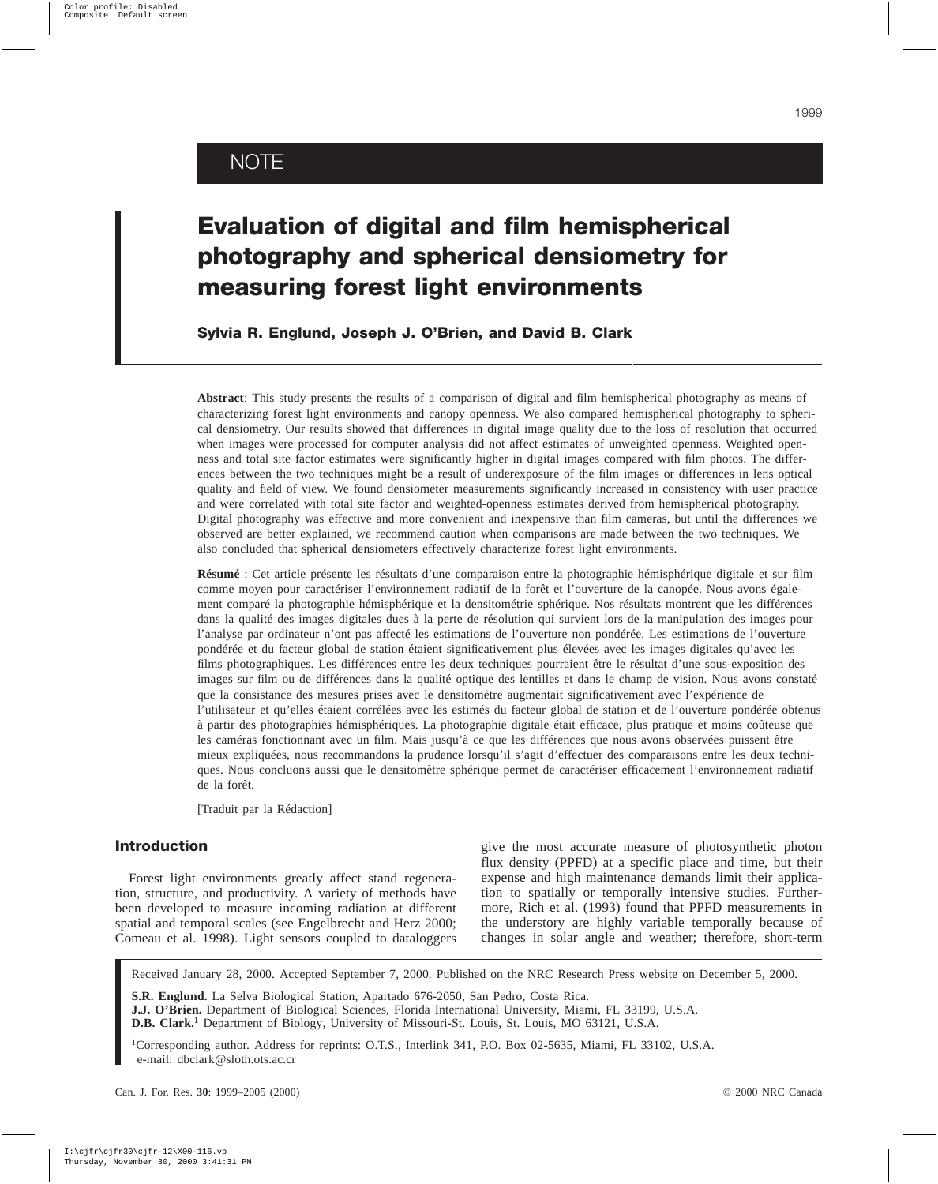# **Evaluation of digital and film hemispherical photography and spherical densiometry for measuring forest light environments**

**Sylvia R. Englund, Joseph J. O'Brien, and David B. Clark**

**Abstract**: This study presents the results of a comparison of digital and film hemispherical photography as means of characterizing forest light environments and canopy openness. We also compared hemispherical photography to spherical densiometry. Our results showed that differences in digital image quality due to the loss of resolution that occurred when images were processed for computer analysis did not affect estimates of unweighted openness. Weighted openness and total site factor estimates were significantly higher in digital images compared with film photos. The differences between the two techniques might be a result of underexposure of the film images or differences in lens optical quality and field of view. We found densiometer measurements significantly increased in consistency with user practice and were correlated with total site factor and weighted-openness estimates derived from hemispherical photography. Digital photography was effective and more convenient and inexpensive than film cameras, but until the differences we observed are better explained, we recommend caution when comparisons are made between the two techniques. We also concluded that spherical densiometers effectively characterize forest light environments.

**Résumé** : Cet article présente les résultats d'une comparaison entre la photographie hémisphérique digitale et sur film comme moyen pour caractériser l'environnement radiatif de la forêt et l'ouverture de la canopée. Nous avons également comparé la photographie hémisphérique et la densitométrie sphérique. Nos résultats montrent que les différences dans la qualité des images digitales dues à la perte de résolution qui survient lors de la manipulation des images pour l'analyse par ordinateur n'ont pas affecté les estimations de l'ouverture non pondérée. Les estimations de l'ouverture pondérée et du facteur global de station étaient significativement plus élevées avec les images digitales qu'avec les films photographiques. Les différences entre les deux techniques pourraient être le résultat d'une sous-exposition des images sur film ou de différences dans la qualité optique des lentilles et dans le champ de vision. Nous avons constaté que la consistance des mesures prises avec le densitomètre augmentait significativement avec l'expérience de l'utilisateur et qu'elles étaient corrélées avec les estimés du facteur global de station et de l'ouverture pondérée obtenus à partir des photographies hémisphériques. La photographie digitale était efficace, plus pratique et moins coûteuse que les caméras fonctionnant avec un film. Mais jusqu'à ce que les différences que nous avons observées puissent être mieux expliquées, nous recommandons la prudence lorsqu'il s'agit d'effectuer des comparaisons entre les deux techniques. Nous concluons aussi que le densitomètre sphérique permet de caractériser efficacement l'environnement radiatif de la forêt.

[Traduit par la Rédaction]

# **Introduction**

Forest light environments greatly affect stand regeneration, structure, and productivity. A variety of methods have been developed to measure incoming radiation at different spatial and temporal scales (see Engelbrecht and Herz 2000; Comeau et al. 1998). Light sensors coupled to dataloggers give the most accurate measure of photosynthetic photon flux density (PPFD) at a specific place and time, but their expense and high maintenance demands limit their application to spatially or temporally intensive studies. Furthermore, Rich et al. (1993) found that PPFD measurements in the understory are highly variable temporally because of changes in solar angle and weather; therefore, short-term

Received January 28, 2000. Accepted September 7, 2000. Published on the NRC Research Press website on December 5, 2000.

**S.R. Englund.** La Selva Biological Station, Apartado 676-2050, San Pedro, Costa Rica. **J.J. O'Brien.** Department of Biological Sciences, Florida International University, Miami, FL 33199, U.S.A. **D.B. Clark.<sup>1</sup>** Department of Biology, University of Missouri-St. Louis, St. Louis, MO 63121, U.S.A.

<sup>1</sup>Corresponding author. Address for reprints: O.T.S., Interlink 341, P.O. Box 02-5635, Miami, FL 33102, U.S.A. e-mail: dbclark@sloth.ots.ac.cr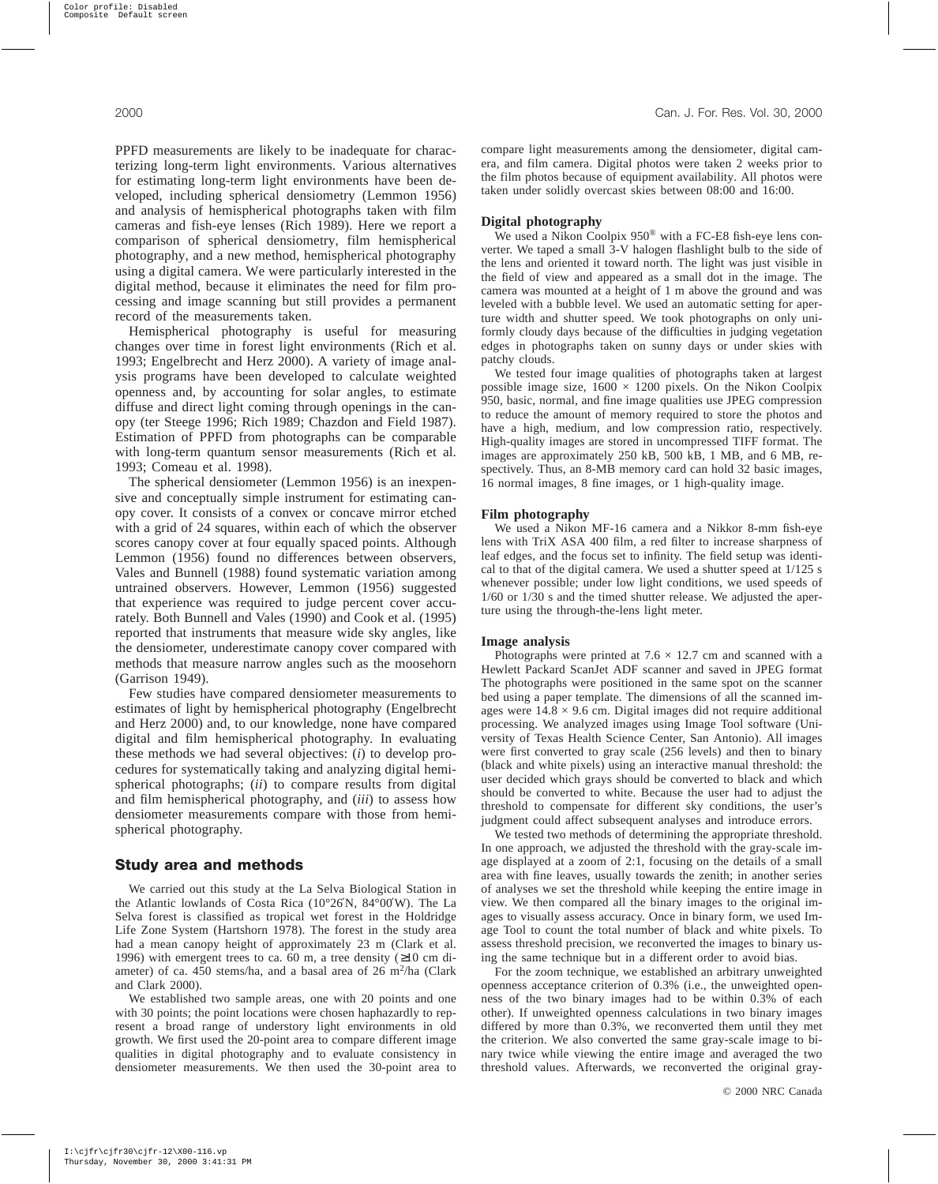PPFD measurements are likely to be inadequate for characterizing long-term light environments. Various alternatives for estimating long-term light environments have been developed, including spherical densiometry (Lemmon 1956) and analysis of hemispherical photographs taken with film cameras and fish-eye lenses (Rich 1989). Here we report a comparison of spherical densiometry, film hemispherical photography, and a new method, hemispherical photography using a digital camera. We were particularly interested in the digital method, because it eliminates the need for film processing and image scanning but still provides a permanent record of the measurements taken.

Hemispherical photography is useful for measuring changes over time in forest light environments (Rich et al. 1993; Engelbrecht and Herz 2000). A variety of image analysis programs have been developed to calculate weighted openness and, by accounting for solar angles, to estimate diffuse and direct light coming through openings in the canopy (ter Steege 1996; Rich 1989; Chazdon and Field 1987). Estimation of PPFD from photographs can be comparable with long-term quantum sensor measurements (Rich et al. 1993; Comeau et al. 1998).

The spherical densiometer (Lemmon 1956) is an inexpensive and conceptually simple instrument for estimating canopy cover. It consists of a convex or concave mirror etched with a grid of 24 squares, within each of which the observer scores canopy cover at four equally spaced points. Although Lemmon (1956) found no differences between observers, Vales and Bunnell (1988) found systematic variation among untrained observers. However, Lemmon (1956) suggested that experience was required to judge percent cover accurately. Both Bunnell and Vales (1990) and Cook et al. (1995) reported that instruments that measure wide sky angles, like the densiometer, underestimate canopy cover compared with methods that measure narrow angles such as the moosehorn (Garrison 1949).

Few studies have compared densiometer measurements to estimates of light by hemispherical photography (Engelbrecht and Herz 2000) and, to our knowledge, none have compared digital and film hemispherical photography. In evaluating these methods we had several objectives: (*i*) to develop procedures for systematically taking and analyzing digital hemispherical photographs; (*ii*) to compare results from digital and film hemispherical photography, and (*iii*) to assess how densiometer measurements compare with those from hemispherical photography.

## **Study area and methods**

We carried out this study at the La Selva Biological Station in the Atlantic lowlands of Costa Rica (10°26′N, 84°00′W). The La Selva forest is classified as tropical wet forest in the Holdridge Life Zone System (Hartshorn 1978). The forest in the study area had a mean canopy height of approximately 23 m (Clark et al. 1996) with emergent trees to ca. 60 m, a tree density ( $\geq 10$  cm diameter) of ca.  $450$  stems/ha, and a basal area of  $26 \text{ m}^2/\text{ha}$  (Clark and Clark 2000).

We established two sample areas, one with 20 points and one with 30 points; the point locations were chosen haphazardly to represent a broad range of understory light environments in old growth. We first used the 20-point area to compare different image qualities in digital photography and to evaluate consistency in densiometer measurements. We then used the 30-point area to

compare light measurements among the densiometer, digital camera, and film camera. Digital photos were taken 2 weeks prior to the film photos because of equipment availability. All photos were taken under solidly overcast skies between 08:00 and 16:00.

### **Digital photography**

We used a Nikon Coolpix 950® with a FC-E8 fish-eye lens converter. We taped a small 3-V halogen flashlight bulb to the side of the lens and oriented it toward north. The light was just visible in the field of view and appeared as a small dot in the image. The camera was mounted at a height of 1 m above the ground and was leveled with a bubble level. We used an automatic setting for aperture width and shutter speed. We took photographs on only uniformly cloudy days because of the difficulties in judging vegetation edges in photographs taken on sunny days or under skies with patchy clouds.

We tested four image qualities of photographs taken at largest possible image size,  $1600 \times 1200$  pixels. On the Nikon Coolpix 950, basic, normal, and fine image qualities use JPEG compression to reduce the amount of memory required to store the photos and have a high, medium, and low compression ratio, respectively. High-quality images are stored in uncompressed TIFF format. The images are approximately 250 kB, 500 kB, 1 MB, and 6 MB, respectively. Thus, an 8-MB memory card can hold 32 basic images, 16 normal images, 8 fine images, or 1 high-quality image.

## **Film photography**

We used a Nikon MF-16 camera and a Nikkor 8-mm fish-eye lens with TriX ASA 400 film, a red filter to increase sharpness of leaf edges, and the focus set to infinity. The field setup was identical to that of the digital camera. We used a shutter speed at 1/125 s whenever possible; under low light conditions, we used speeds of 1/60 or 1/30 s and the timed shutter release. We adjusted the aperture using the through-the-lens light meter.

### **Image analysis**

Photographs were printed at  $7.6 \times 12.7$  cm and scanned with a Hewlett Packard ScanJet ADF scanner and saved in JPEG format The photographs were positioned in the same spot on the scanner bed using a paper template. The dimensions of all the scanned images were  $14.8 \times 9.6$  cm. Digital images did not require additional processing. We analyzed images using Image Tool software (University of Texas Health Science Center, San Antonio). All images were first converted to gray scale (256 levels) and then to binary (black and white pixels) using an interactive manual threshold: the user decided which grays should be converted to black and which should be converted to white. Because the user had to adjust the threshold to compensate for different sky conditions, the user's judgment could affect subsequent analyses and introduce errors.

We tested two methods of determining the appropriate threshold. In one approach, we adjusted the threshold with the gray-scale image displayed at a zoom of 2:1, focusing on the details of a small area with fine leaves, usually towards the zenith; in another series of analyses we set the threshold while keeping the entire image in view. We then compared all the binary images to the original images to visually assess accuracy. Once in binary form, we used Image Tool to count the total number of black and white pixels. To assess threshold precision, we reconverted the images to binary using the same technique but in a different order to avoid bias.

For the zoom technique, we established an arbitrary unweighted openness acceptance criterion of 0.3% (i.e., the unweighted openness of the two binary images had to be within 0.3% of each other). If unweighted openness calculations in two binary images differed by more than 0.3%, we reconverted them until they met the criterion. We also converted the same gray-scale image to binary twice while viewing the entire image and averaged the two threshold values. Afterwards, we reconverted the original gray-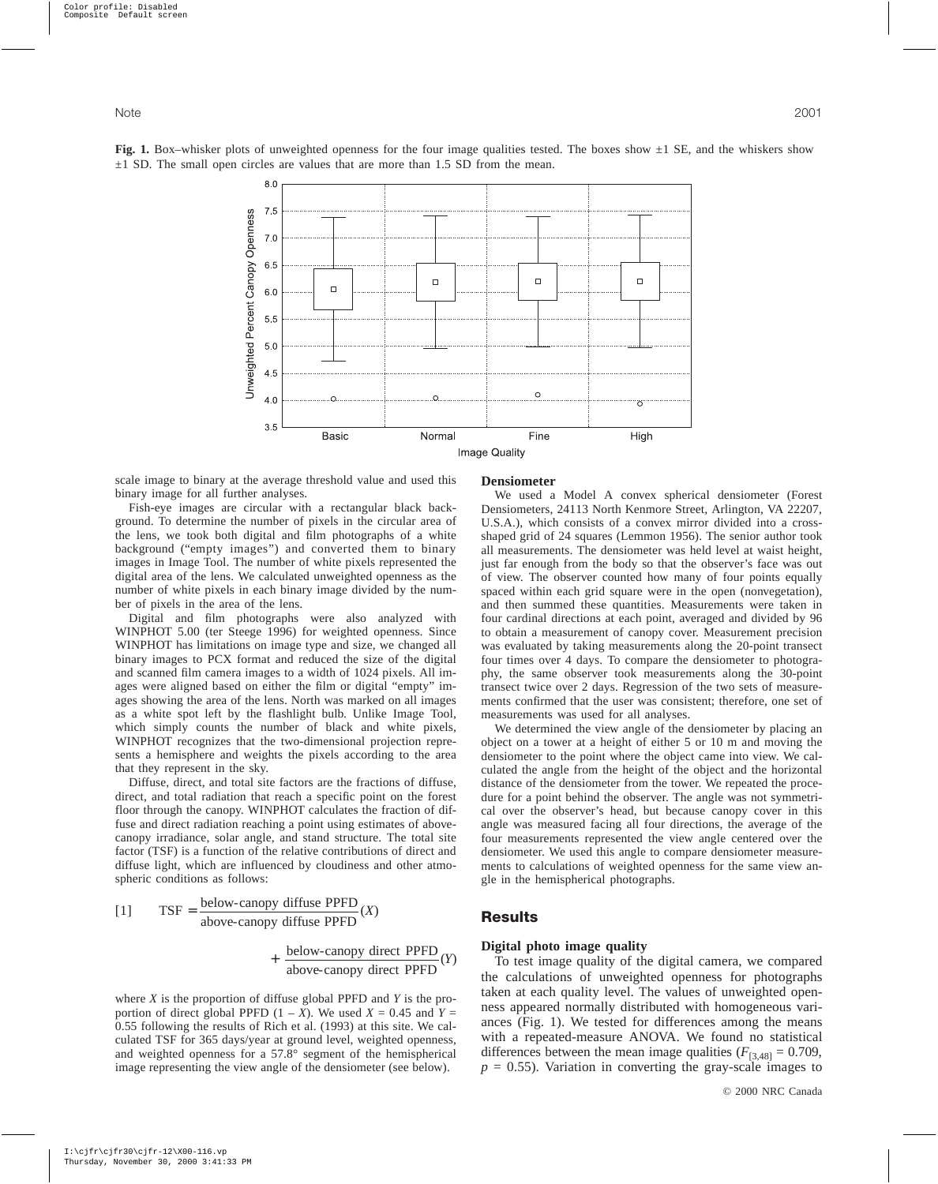



scale image to binary at the average threshold value and used this binary image for all further analyses.

Fish-eye images are circular with a rectangular black background. To determine the number of pixels in the circular area of the lens, we took both digital and film photographs of a white background ("empty images") and converted them to binary images in Image Tool. The number of white pixels represented the digital area of the lens. We calculated unweighted openness as the number of white pixels in each binary image divided by the number of pixels in the area of the lens.

Digital and film photographs were also analyzed with WINPHOT 5.00 (ter Steege 1996) for weighted openness. Since WINPHOT has limitations on image type and size, we changed all binary images to PCX format and reduced the size of the digital and scanned film camera images to a width of 1024 pixels. All images were aligned based on either the film or digital "empty" images showing the area of the lens. North was marked on all images as a white spot left by the flashlight bulb. Unlike Image Tool, which simply counts the number of black and white pixels, WINPHOT recognizes that the two-dimensional projection represents a hemisphere and weights the pixels according to the area that they represent in the sky.

Diffuse, direct, and total site factors are the fractions of diffuse, direct, and total radiation that reach a specific point on the forest floor through the canopy. WINPHOT calculates the fraction of diffuse and direct radiation reaching a point using estimates of abovecanopy irradiance, solar angle, and stand structure. The total site factor (TSF) is a function of the relative contributions of direct and diffuse light, which are influenced by cloudiness and other atmospheric conditions as follows:

[1] TSF = 
$$
\frac{\text{below-canopy diffuse PPFD}}{\text{above-canopy diffuse PPFD}}(X) + \frac{\text{below-canopy direct PPFD}}{\text{above-canopy direct PPFD}}(Y)
$$

where *X* is the proportion of diffuse global PPFD and *Y* is the proportion of direct global PPFD  $(1 - X)$ . We used  $X = 0.45$  and  $Y =$ 0.55 following the results of Rich et al. (1993) at this site. We calculated TSF for 365 days/year at ground level, weighted openness, and weighted openness for a 57.8° segment of the hemispherical image representing the view angle of the densiometer (see below).

#### **Densiometer**

We used a Model A convex spherical densiometer (Forest Densiometers, 24113 North Kenmore Street, Arlington, VA 22207, U.S.A.), which consists of a convex mirror divided into a crossshaped grid of 24 squares (Lemmon 1956). The senior author took all measurements. The densiometer was held level at waist height, just far enough from the body so that the observer's face was out of view. The observer counted how many of four points equally spaced within each grid square were in the open (nonvegetation), and then summed these quantities. Measurements were taken in four cardinal directions at each point, averaged and divided by 96 to obtain a measurement of canopy cover. Measurement precision was evaluated by taking measurements along the 20-point transect four times over 4 days. To compare the densiometer to photography, the same observer took measurements along the 30-point transect twice over 2 days. Regression of the two sets of measurements confirmed that the user was consistent; therefore, one set of measurements was used for all analyses.

We determined the view angle of the densiometer by placing an object on a tower at a height of either 5 or 10 m and moving the densiometer to the point where the object came into view. We calculated the angle from the height of the object and the horizontal distance of the densiometer from the tower. We repeated the procedure for a point behind the observer. The angle was not symmetrical over the observer's head, but because canopy cover in this angle was measured facing all four directions, the average of the four measurements represented the view angle centered over the densiometer. We used this angle to compare densiometer measurements to calculations of weighted openness for the same view angle in the hemispherical photographs.

## **Results**

## **Digital photo image quality**

To test image quality of the digital camera, we compared the calculations of unweighted openness for photographs taken at each quality level. The values of unweighted openness appeared normally distributed with homogeneous variances (Fig. 1). We tested for differences among the means with a repeated-measure ANOVA. We found no statistical differences between the mean image qualities  $(F<sub>[3,48]</sub> = 0.709)$ ,  $p = 0.55$ ). Variation in converting the gray-scale images to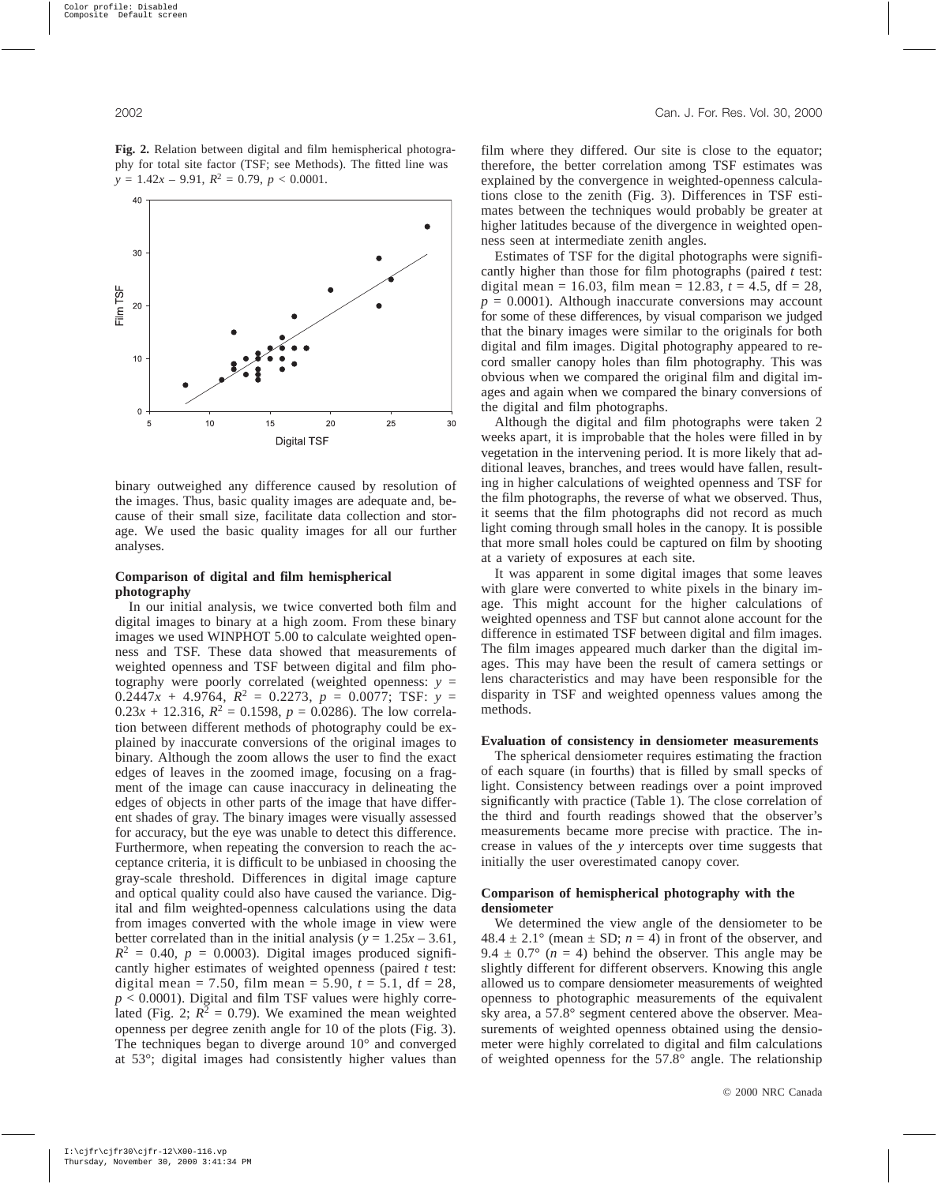**Fig. 2.** Relation between digital and film hemispherical photography for total site factor (TSF; see Methods). The fitted line was  $y = 1.42x - 9.91$ ,  $R^2 = 0.79$ ,  $p < 0.0001$ .



binary outweighed any difference caused by resolution of the images. Thus, basic quality images are adequate and, because of their small size, facilitate data collection and storage. We used the basic quality images for all our further analyses.

## **Comparison of digital and film hemispherical photography**

In our initial analysis, we twice converted both film and digital images to binary at a high zoom. From these binary images we used WINPHOT 5.00 to calculate weighted openness and TSF. These data showed that measurements of weighted openness and TSF between digital and film photography were poorly correlated (weighted openness:  $y =$ 0.2447*x* + 4.9764,  $R^2 = 0.2273$ ,  $p = 0.0077$ ; TSF:  $y =$  $0.23x + 12.316$ ,  $R^2 = 0.1598$ ,  $p = 0.0286$ ). The low correlation between different methods of photography could be explained by inaccurate conversions of the original images to binary. Although the zoom allows the user to find the exact edges of leaves in the zoomed image, focusing on a fragment of the image can cause inaccuracy in delineating the edges of objects in other parts of the image that have different shades of gray. The binary images were visually assessed for accuracy, but the eye was unable to detect this difference. Furthermore, when repeating the conversion to reach the acceptance criteria, it is difficult to be unbiased in choosing the gray-scale threshold. Differences in digital image capture and optical quality could also have caused the variance. Digital and film weighted-openness calculations using the data from images converted with the whole image in view were better correlated than in the initial analysis ( $y = 1.25x - 3.61$ ,  $R^2 = 0.40$ ,  $p = 0.0003$ ). Digital images produced significantly higher estimates of weighted openness (paired *t* test: digital mean = 7.50, film mean = 5.90,  $t = 5.1$ , df = 28,  $p < 0.0001$ ). Digital and film TSF values were highly correlated (Fig. 2;  $R^2 = 0.79$ ). We examined the mean weighted openness per degree zenith angle for 10 of the plots (Fig. 3). The techniques began to diverge around 10° and converged at 53°; digital images had consistently higher values than

film where they differed. Our site is close to the equator; therefore, the better correlation among TSF estimates was explained by the convergence in weighted-openness calculations close to the zenith (Fig. 3). Differences in TSF estimates between the techniques would probably be greater at higher latitudes because of the divergence in weighted openness seen at intermediate zenith angles.

Estimates of TSF for the digital photographs were significantly higher than those for film photographs (paired *t* test: digital mean = 16.03, film mean = 12.83,  $t = 4.5$ , df = 28,  $p = 0.0001$ ). Although inaccurate conversions may account for some of these differences, by visual comparison we judged that the binary images were similar to the originals for both digital and film images. Digital photography appeared to record smaller canopy holes than film photography. This was obvious when we compared the original film and digital images and again when we compared the binary conversions of the digital and film photographs.

Although the digital and film photographs were taken 2 weeks apart, it is improbable that the holes were filled in by vegetation in the intervening period. It is more likely that additional leaves, branches, and trees would have fallen, resulting in higher calculations of weighted openness and TSF for the film photographs, the reverse of what we observed. Thus, it seems that the film photographs did not record as much light coming through small holes in the canopy. It is possible that more small holes could be captured on film by shooting at a variety of exposures at each site.

It was apparent in some digital images that some leaves with glare were converted to white pixels in the binary image. This might account for the higher calculations of weighted openness and TSF but cannot alone account for the difference in estimated TSF between digital and film images. The film images appeared much darker than the digital images. This may have been the result of camera settings or lens characteristics and may have been responsible for the disparity in TSF and weighted openness values among the methods.

## **Evaluation of consistency in densiometer measurements**

The spherical densiometer requires estimating the fraction of each square (in fourths) that is filled by small specks of light. Consistency between readings over a point improved significantly with practice (Table 1). The close correlation of the third and fourth readings showed that the observer's measurements became more precise with practice. The increase in values of the *y* intercepts over time suggests that initially the user overestimated canopy cover.

## **Comparison of hemispherical photography with the densiometer**

We determined the view angle of the densiometer to be  $48.4 \pm 2.1^{\circ}$  (mean  $\pm$  SD; *n* = 4) in front of the observer, and 9.4  $\pm$  0.7° (*n* = 4) behind the observer. This angle may be slightly different for different observers. Knowing this angle allowed us to compare densiometer measurements of weighted openness to photographic measurements of the equivalent sky area, a 57.8° segment centered above the observer. Measurements of weighted openness obtained using the densiometer were highly correlated to digital and film calculations of weighted openness for the 57.8° angle. The relationship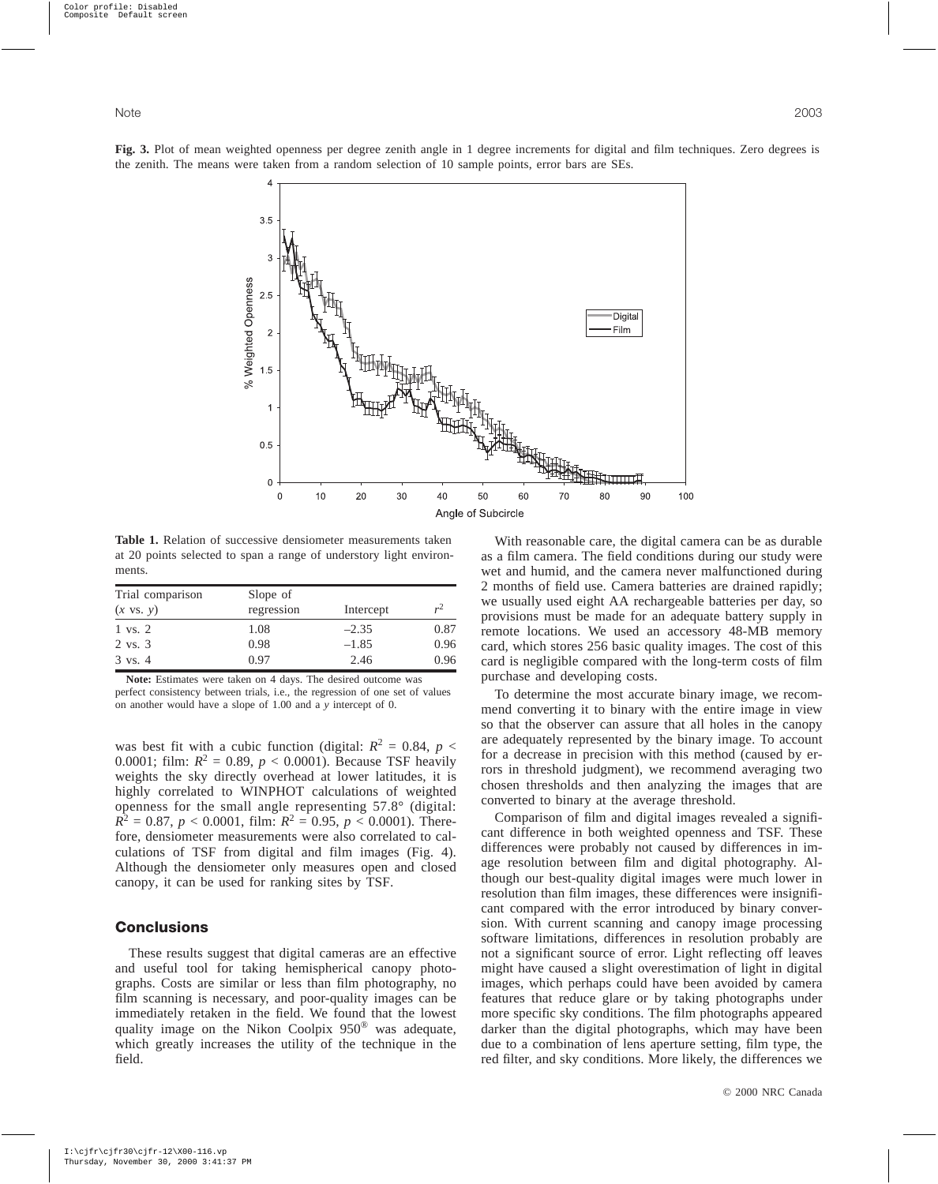

**Fig. 3.** Plot of mean weighted openness per degree zenith angle in 1 degree increments for digital and film techniques. Zero degrees is the zenith. The means were taken from a random selection of 10 sample points, error bars are SEs.

**Table 1.** Relation of successive densiometer measurements taken at 20 points selected to span a range of understory light environments.

| Trial comparison<br>$(x \text{ vs. } y)$ | Slope of   | Intercept |      |
|------------------------------------------|------------|-----------|------|
|                                          | regression |           |      |
| 1 vs. 2                                  | 1.08       | $-2.35$   | 0.87 |
| 2 vs. 3                                  | 0.98       | $-1.85$   | 0.96 |
| $3 \text{ vs. } 4$                       | 0.97       | 2.46      | 0.96 |

**Note:** Estimates were taken on 4 days. The desired outcome was perfect consistency between trials, i.e., the regression of one set of values on another would have a slope of 1.00 and a *y* intercept of 0.

was best fit with a cubic function (digital:  $R^2 = 0.84$ ,  $p <$ 0.0001; film:  $R^2 = 0.89$ ,  $p < 0.0001$ ). Because TSF heavily weights the sky directly overhead at lower latitudes, it is highly correlated to WINPHOT calculations of weighted openness for the small angle representing 57.8° (digital:  $R^2 = 0.87$ ,  $p < 0.0001$ , film:  $R^2 = 0.95$ ,  $p < 0.0001$ ). Therefore, densiometer measurements were also correlated to calculations of TSF from digital and film images (Fig. 4). Although the densiometer only measures open and closed canopy, it can be used for ranking sites by TSF.

## **Conclusions**

These results suggest that digital cameras are an effective and useful tool for taking hemispherical canopy photographs. Costs are similar or less than film photography, no film scanning is necessary, and poor-quality images can be immediately retaken in the field. We found that the lowest quality image on the Nikon Coolpix  $950^{\circ}$  was adequate, which greatly increases the utility of the technique in the field.

With reasonable care, the digital camera can be as durable as a film camera. The field conditions during our study were wet and humid, and the camera never malfunctioned during 2 months of field use. Camera batteries are drained rapidly; we usually used eight AA rechargeable batteries per day, so provisions must be made for an adequate battery supply in remote locations. We used an accessory 48-MB memory card, which stores 256 basic quality images. The cost of this card is negligible compared with the long-term costs of film purchase and developing costs.

To determine the most accurate binary image, we recommend converting it to binary with the entire image in view so that the observer can assure that all holes in the canopy are adequately represented by the binary image. To account for a decrease in precision with this method (caused by errors in threshold judgment), we recommend averaging two chosen thresholds and then analyzing the images that are converted to binary at the average threshold.

Comparison of film and digital images revealed a significant difference in both weighted openness and TSF. These differences were probably not caused by differences in image resolution between film and digital photography. Although our best-quality digital images were much lower in resolution than film images, these differences were insignificant compared with the error introduced by binary conversion. With current scanning and canopy image processing software limitations, differences in resolution probably are not a significant source of error. Light reflecting off leaves might have caused a slight overestimation of light in digital images, which perhaps could have been avoided by camera features that reduce glare or by taking photographs under more specific sky conditions. The film photographs appeared darker than the digital photographs, which may have been due to a combination of lens aperture setting, film type, the red filter, and sky conditions. More likely, the differences we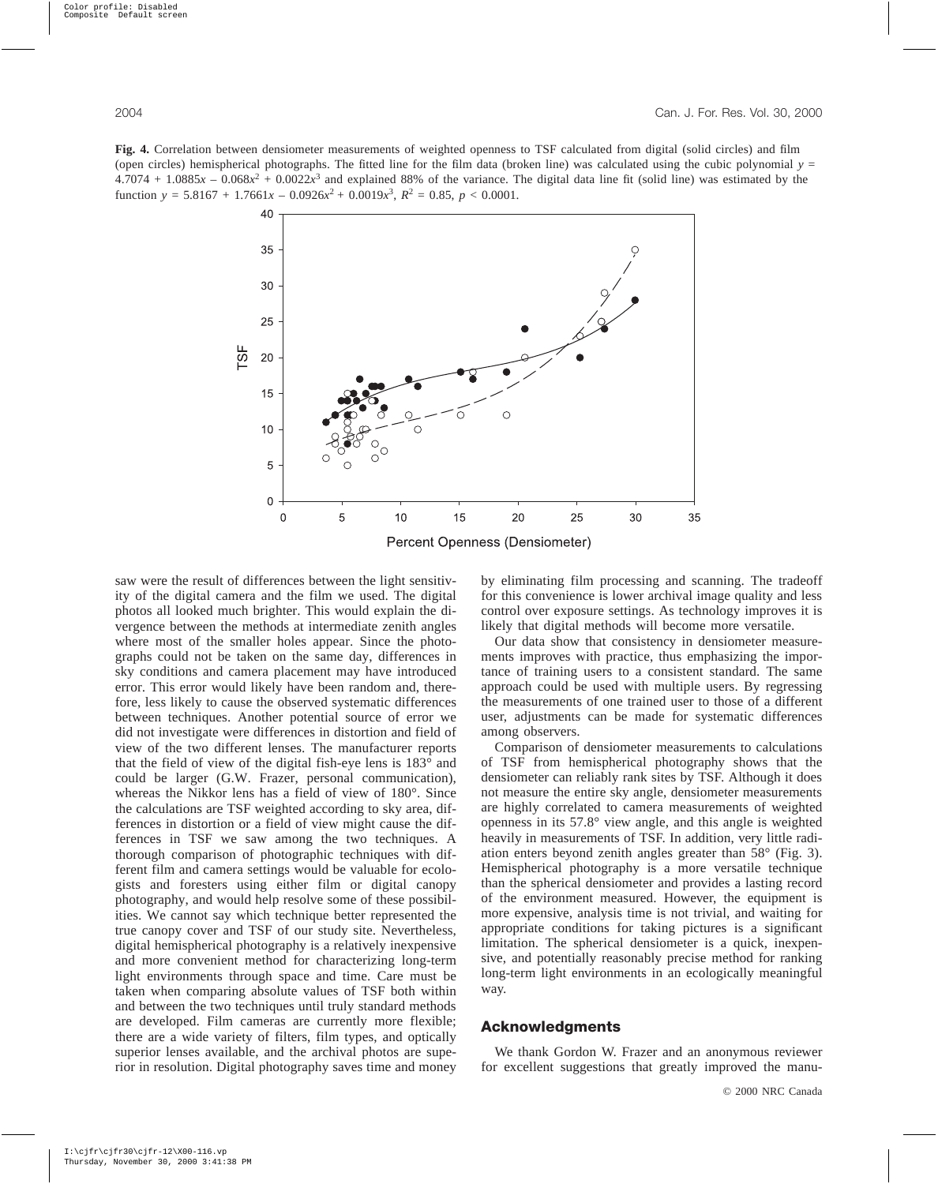**Fig. 4.** Correlation between densiometer measurements of weighted openness to TSF calculated from digital (solid circles) and film (open circles) hemispherical photographs. The fitted line for the film data (broken line) was calculated using the cubic polynomial  $y =$  $4.7074 + 1.0885x - 0.068x^2 + 0.0022x^3$  and explained 88% of the variance. The digital data line fit (solid line) was estimated by the function  $y = 5.8167 + 1.7661x - 0.0926x^2 + 0.0019x^3$ ,  $R^2 = 0.85$ ,  $p < 0.0001$ .



saw were the result of differences between the light sensitivity of the digital camera and the film we used. The digital photos all looked much brighter. This would explain the divergence between the methods at intermediate zenith angles where most of the smaller holes appear. Since the photographs could not be taken on the same day, differences in sky conditions and camera placement may have introduced error. This error would likely have been random and, therefore, less likely to cause the observed systematic differences between techniques. Another potential source of error we did not investigate were differences in distortion and field of view of the two different lenses. The manufacturer reports that the field of view of the digital fish-eye lens is 183° and could be larger (G.W. Frazer, personal communication), whereas the Nikkor lens has a field of view of 180°. Since the calculations are TSF weighted according to sky area, differences in distortion or a field of view might cause the differences in TSF we saw among the two techniques. A thorough comparison of photographic techniques with different film and camera settings would be valuable for ecologists and foresters using either film or digital canopy photography, and would help resolve some of these possibilities. We cannot say which technique better represented the true canopy cover and TSF of our study site. Nevertheless, digital hemispherical photography is a relatively inexpensive and more convenient method for characterizing long-term light environments through space and time. Care must be taken when comparing absolute values of TSF both within and between the two techniques until truly standard methods are developed. Film cameras are currently more flexible; there are a wide variety of filters, film types, and optically superior lenses available, and the archival photos are superior in resolution. Digital photography saves time and money by eliminating film processing and scanning. The tradeoff for this convenience is lower archival image quality and less control over exposure settings. As technology improves it is likely that digital methods will become more versatile.

Our data show that consistency in densiometer measurements improves with practice, thus emphasizing the importance of training users to a consistent standard. The same approach could be used with multiple users. By regressing the measurements of one trained user to those of a different user, adjustments can be made for systematic differences among observers.

Comparison of densiometer measurements to calculations of TSF from hemispherical photography shows that the densiometer can reliably rank sites by TSF. Although it does not measure the entire sky angle, densiometer measurements are highly correlated to camera measurements of weighted openness in its 57.8° view angle, and this angle is weighted heavily in measurements of TSF. In addition, very little radiation enters beyond zenith angles greater than 58° (Fig. 3). Hemispherical photography is a more versatile technique than the spherical densiometer and provides a lasting record of the environment measured. However, the equipment is more expensive, analysis time is not trivial, and waiting for appropriate conditions for taking pictures is a significant limitation. The spherical densiometer is a quick, inexpensive, and potentially reasonably precise method for ranking long-term light environments in an ecologically meaningful way.

## **Acknowledgments**

We thank Gordon W. Frazer and an anonymous reviewer for excellent suggestions that greatly improved the manu-